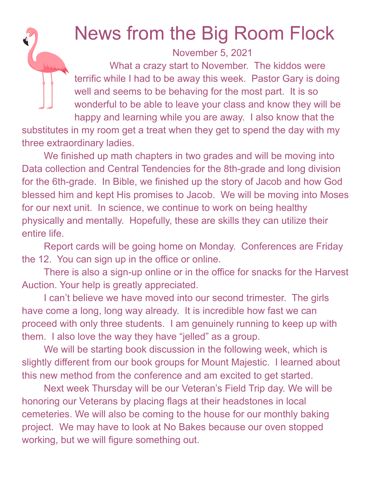## News from the Big Room Flock

November 5, 2021

What a crazy start to November. The kiddos were terrific while I had to be away this week. Pastor Gary is doing well and seems to be behaving for the most part. It is so wonderful to be able to leave your class and know they will be happy and learning while you are away. I also know that the

substitutes in my room get a treat when they get to spend the day with my three extraordinary ladies.

We finished up math chapters in two grades and will be moving into Data collection and Central Tendencies for the 8th-grade and long division for the 6th-grade. In Bible, we finished up the story of Jacob and how God blessed him and kept His promises to Jacob. We will be moving into Moses for our next unit. In science, we continue to work on being healthy physically and mentally. Hopefully, these are skills they can utilize their entire life.

Report cards will be going home on Monday. Conferences are Friday the 12. You can sign up in the office or online.

There is also a sign-up online or in the office for snacks for the Harvest Auction. Your help is greatly appreciated.

I can't believe we have moved into our second trimester. The girls have come a long, long way already. It is incredible how fast we can proceed with only three students. I am genuinely running to keep up with them. I also love the way they have "jelled" as a group.

We will be starting book discussion in the following week, which is slightly different from our book groups for Mount Majestic. I learned about this new method from the conference and am excited to get started.

Next week Thursday will be our Veteran's Field Trip day. We will be honoring our Veterans by placing flags at their headstones in local cemeteries. We will also be coming to the house for our monthly baking project. We may have to look at No Bakes because our oven stopped working, but we will figure something out.